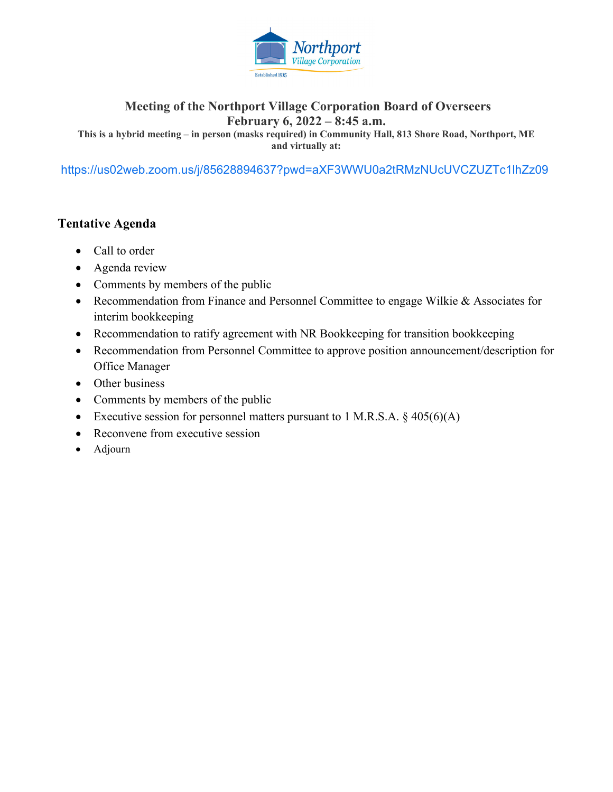

## **Meeting of the Northport Village Corporation Board of Overseers February 6, 2022 – 8:45 a.m.**

**This is a hybrid meeting – in person (masks required) in Community Hall, 813 Shore Road, Northport, ME and virtually at:** 

https://us02web.zoom.us/j/85628894637?pwd=aXF3WWU0a2tRMzNUcUVCZUZTc1lhZz09

## **Tentative Agenda**

- Call to order
- Agenda review
- Comments by members of the public
- Recommendation from Finance and Personnel Committee to engage Wilkie & Associates for interim bookkeeping
- Recommendation to ratify agreement with NR Bookkeeping for transition bookkeeping
- Recommendation from Personnel Committee to approve position announcement/description for Office Manager
- Other business
- Comments by members of the public
- Executive session for personnel matters pursuant to 1 M.R.S.A.  $\S$  405(6)(A)
- Reconvene from executive session
- Adjourn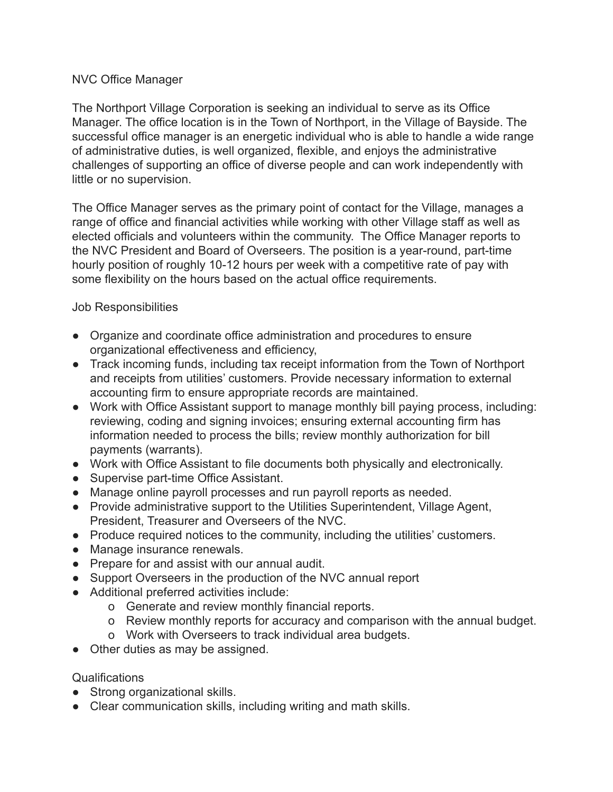### NVC Office Manager

The Northport Village Corporation is seeking an individual to serve as its Office Manager. The office location is in the Town of Northport, in the Village of Bayside. The successful office manager is an energetic individual who is able to handle a wide range of administrative duties, is well organized, flexible, and enjoys the administrative challenges of supporting an office of diverse people and can work independently with little or no supervision.

The Office Manager serves as the primary point of contact for the Village, manages a range of office and financial activities while working with other Village staff as well as elected officials and volunteers within the community. The Office Manager reports to the NVC President and Board of Overseers. The position is a year-round, part-time hourly position of roughly 10-12 hours per week with a competitive rate of pay with some flexibility on the hours based on the actual office requirements.

Job Responsibilities

- Organize and coordinate office administration and procedures to ensure organizational effectiveness and efficiency,
- Track incoming funds, including tax receipt information from the Town of Northport and receipts from utilities' customers. Provide necessary information to external accounting firm to ensure appropriate records are maintained.
- Work with Office Assistant support to manage monthly bill paying process, including: reviewing, coding and signing invoices; ensuring external accounting firm has information needed to process the bills; review monthly authorization for bill payments (warrants).
- Work with Office Assistant to file documents both physically and electronically.
- Supervise part-time Office Assistant.
- Manage online payroll processes and run payroll reports as needed.
- Provide administrative support to the Utilities Superintendent, Village Agent, President, Treasurer and Overseers of the NVC.
- Produce required notices to the community, including the utilities' customers.
- Manage insurance renewals.
- Prepare for and assist with our annual audit.
- Support Overseers in the production of the NVC annual report
- Additional preferred activities include:
	- o Generate and review monthly financial reports.
	- o Review monthly reports for accuracy and comparison with the annual budget.
	- o Work with Overseers to track individual area budgets.
- Other duties as may be assigned.

#### Qualifications

- Strong organizational skills.
- Clear communication skills, including writing and math skills.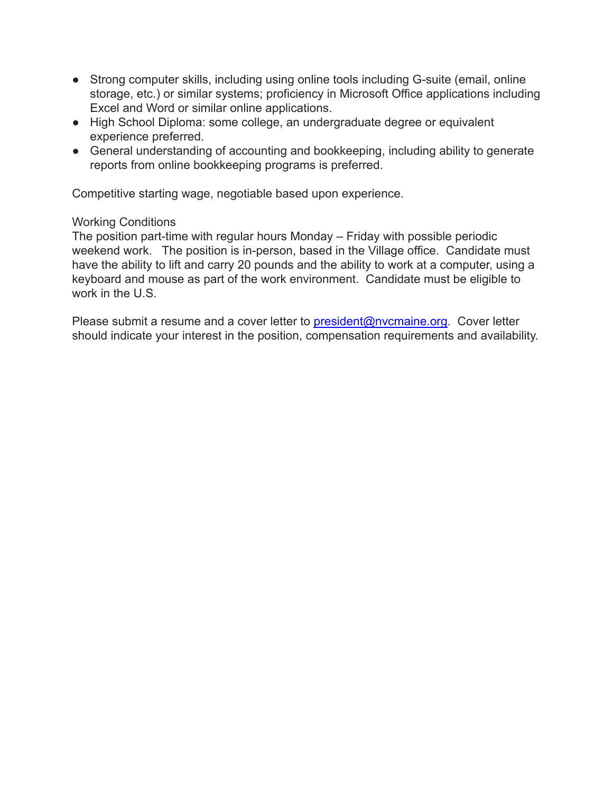- Strong computer skills, including using online tools including G-suite (email, online storage, etc.) or similar systems; proficiency in Microsoft Office applications including Excel and Word or similar online applications.
- High School Diploma: some college, an undergraduate degree or equivalent experience preferred.
- General understanding of accounting and bookkeeping, including ability to generate reports from online bookkeeping programs is preferred.

Competitive starting wage, negotiable based upon experience.

# Working Conditions

The position part-time with regular hours Monday – Friday with possible periodic weekend work. The position is in-person, based in the Village office. Candidate must have the ability to lift and carry 20 pounds and the ability to work at a computer, using a keyboard and mouse as part of the work environment. Candidate must be eligible to work in the U.S.

Please submit a resume and a cover letter to [president@nvcmaine.org](mailto:president@nvcmaine.org). Cover letter should indicate your interest in the position, compensation requirements and availability.